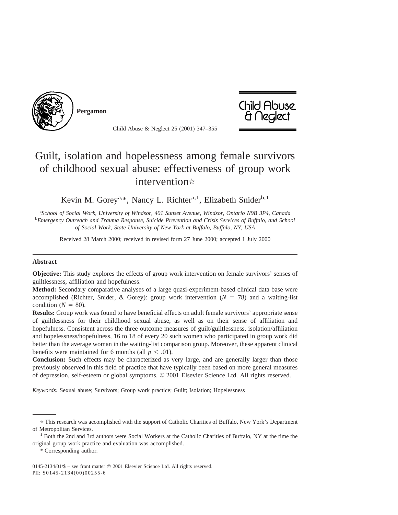

**Pergamon**



Child Abuse & Neglect 25 (2001) 347–355

## Guilt, isolation and hopelessness among female survivors of childhood sexual abuse: effectiveness of group work intervention  $\ast$

Kevin M. Gorey<sup>a,\*</sup>, Nancy L. Richter<sup>a,1</sup>, Elizabeth Snider<sup>b,1</sup>

<sup>a</sup> School of Social Work, University of Windsor, 401 Sunset Avenue, Windsor, Ontario N9B 3P4, Canada<br><sup>b</sup> Emergancy Outrageh and Trauma Pesponse, Suiside Prevention and Crisis Services of Buffalo, and Scho *Emergency Outreach and Trauma Response, Suicide Prevention and Crisis Services of Buffalo, and School of Social Work, State University of New York at Buffalo, Buffalo, NY, USA*

Received 28 March 2000; received in revised form 27 June 2000; accepted 1 July 2000

## **Abstract**

**Objective:** This study explores the effects of group work intervention on female survivors' senses of guiltlessness, affiliation and hopefulness.

**Method:** Secondary comparative analyses of a large quasi-experiment-based clinical data base were accomplished (Richter, Snider, & Gorey): group work intervention  $(N = 78)$  and a waiting-list condition  $(N = 80)$ .

**Results:** Group work was found to have beneficial effects on adult female survivors' appropriate sense of guiltlessness for their childhood sexual abuse, as well as on their sense of affiliation and hopefulness. Consistent across the three outcome measures of guilt/guiltlessness, isolation/affiliation and hopelessness/hopefulness, 16 to 18 of every 20 such women who participated in group work did better than the average woman in the waiting-list comparison group. Moreover, these apparent clinical benefits were maintained for 6 months (all  $p < .01$ ).

**Conclusion:** Such effects may be characterized as very large, and are generally larger than those previously observed in this field of practice that have typically been based on more general measures of depression, self-esteem or global symptoms. © 2001 Elsevier Science Ltd. All rights reserved.

*Keywords:* Sexual abuse; Survivors; Group work practice; Guilt; Isolation; Hopelessness

 $\dot{\gamma}$  This research was accomplished with the support of Catholic Charities of Buffalo, New York's Department of Metropolitan Services.<br><sup>1</sup> Both the 2nd and 3rd authors were Social Workers at the Catholic Charities of Buffalo, NY at the time the

original group work practice and evaluation was accomplished.

<sup>\*</sup> Corresponding author.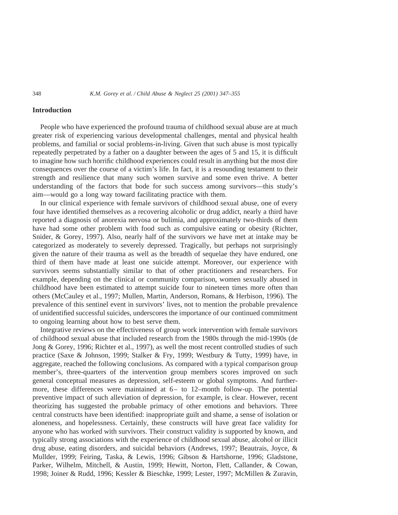## **Introduction**

People who have experienced the profound trauma of childhood sexual abuse are at much greater risk of experiencing various developmental challenges, mental and physical health problems, and familial or social problems-in-living. Given that such abuse is most typically repeatedly perpetrated by a father on a daughter between the ages of 5 and 15, it is difficult to imagine how such horrific childhood experiences could result in anything but the most dire consequences over the course of a victim's life. In fact, it is a resounding testament to their strength and resilience that many such women survive and some even thrive. A better understanding of the factors that bode for such success among survivors—this study's aim—would go a long way toward facilitating practice with them.

In our clinical experience with female survivors of childhood sexual abuse, one of every four have identified themselves as a recovering alcoholic or drug addict, nearly a third have reported a diagnosis of anorexia nervosa or bulimia, and approximately two-thirds of them have had some other problem with food such as compulsive eating or obesity (Richter, Snider, & Gorey, 1997). Also, nearly half of the survivors we have met at intake may be categorized as moderately to severely depressed. Tragically, but perhaps not surprisingly given the nature of their trauma as well as the breadth of sequelae they have endured, one third of them have made at least one suicide attempt. Moreover, our experience with survivors seems substantially similar to that of other practitioners and researchers. For example, depending on the clinical or community comparison, women sexually abused in childhood have been estimated to attempt suicide four to nineteen times more often than others (McCauley et al., 1997; Mullen, Martin, Anderson, Romans, & Herbison, 1996). The prevalence of this sentinel event in survivors' lives, not to mention the probable prevalence of unidentified successful suicides, underscores the importance of our continued commitment to ongoing learning about how to best serve them.

Integrative reviews on the effectiveness of group work intervention with female survivors of childhood sexual abuse that included research from the 1980s through the mid-1990s (de Jong & Gorey, 1996; Richter et al., 1997), as well the most recent controlled studies of such practice (Saxe & Johnson, 1999; Stalker & Fry, 1999; Westbury & Tutty, 1999) have, in aggregate, reached the following conclusions. As compared with a typical comparison group member's, three-quarters of the intervention group members scores improved on such general conceptual measures as depression, self-esteem or global symptoms. And furthermore, these differences were maintained at 6– to 12–month follow-up. The potential preventive impact of such alleviation of depression, for example, is clear. However, recent theorizing has suggested the probable primacy of other emotions and behaviors. Three central constructs have been identified: inappropriate guilt and shame, a sense of isolation or aloneness, and hopelessness. Certainly, these constructs will have great face validity for anyone who has worked with survivors. Their construct validity is supported by known, and typically strong associations with the experience of childhood sexual abuse, alcohol or illicit drug abuse, eating disorders, and suicidal behaviors (Andrews, 1997; Beautrais, Joyce, & Mullder, 1999; Feiring, Taska, & Lewis, 1996; Gibson & Hartshorne, 1996; Gladstone, Parker, Wilhelm, Mitchell, & Austin, 1999; Hewitt, Norton, Flett, Callander, & Cowan, 1998; Joiner & Rudd, 1996; Kessler & Bieschke, 1999; Lester, 1997; McMillen & Zuravin,